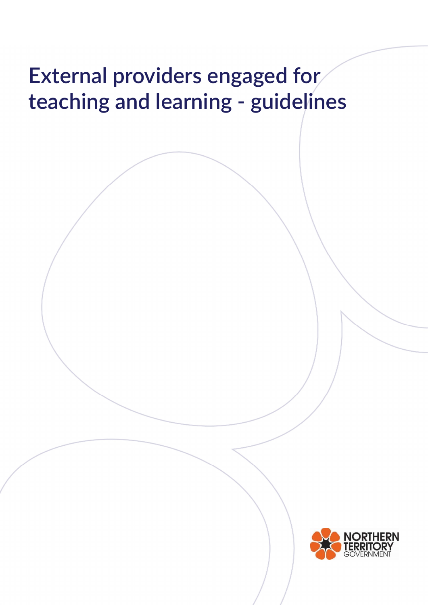# External providers engaged for teaching and learning - guidelines

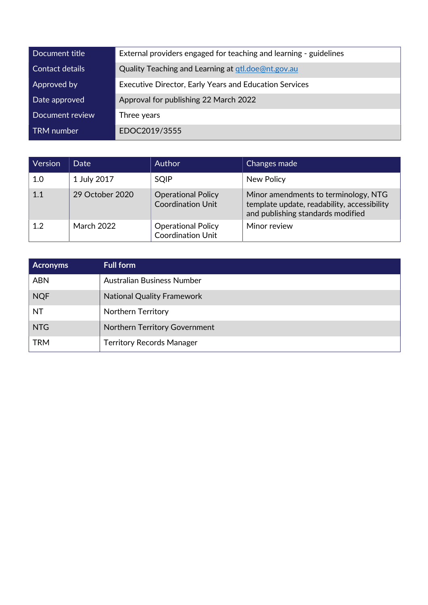| Document title  | External providers engaged for teaching and learning - guidelines |
|-----------------|-------------------------------------------------------------------|
| Contact details | Quality Teaching and Learning at gtl.doe@nt.gov.au                |
| Approved by     | <b>Executive Director, Early Years and Education Services</b>     |
| Date approved   | Approval for publishing 22 March 2022                             |
| Document review | Three years                                                       |
| TRM number      | EDOC2019/3555                                                     |

| Version | Date              | <b>Author</b>                                         | Changes made                                                                                                             |
|---------|-------------------|-------------------------------------------------------|--------------------------------------------------------------------------------------------------------------------------|
| 1.0     | 1 July 2017       | <b>SQIP</b>                                           | New Policy                                                                                                               |
| 1.1     | 29 October 2020   | <b>Operational Policy</b><br><b>Coordination Unit</b> | Minor amendments to terminology, NTG<br>template update, readability, accessibility<br>and publishing standards modified |
| 1.2     | <b>March 2022</b> | <b>Operational Policy</b><br>Coordination Unit        | Minor review                                                                                                             |

| <b>Acronyms</b> | <b>Full form</b>                     |
|-----------------|--------------------------------------|
| <b>ABN</b>      | Australian Business Number           |
| <b>NQF</b>      | <b>National Quality Framework</b>    |
| <b>NT</b>       | <b>Northern Territory</b>            |
| <b>NTG</b>      | <b>Northern Territory Government</b> |
| <b>TRM</b>      | <b>Territory Records Manager</b>     |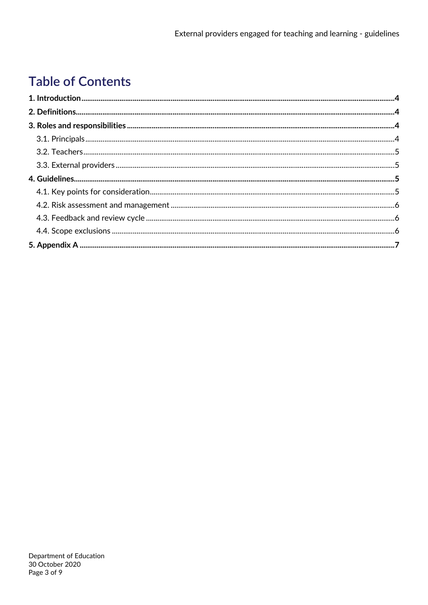# **Table of Contents**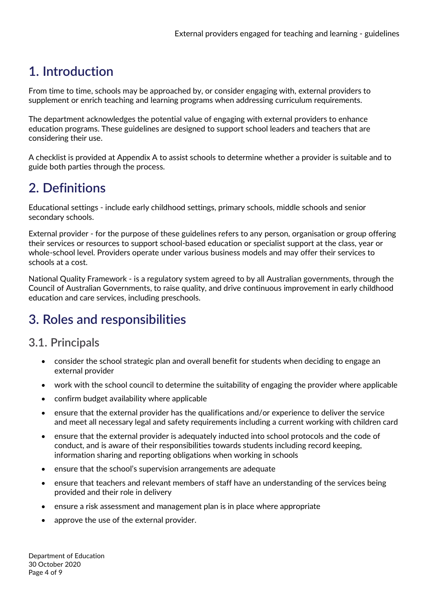## 1. Introduction

From time to time, schools may be approached by, or consider engaging with, external providers to supplement or enrich teaching and learning programs when addressing curriculum requirements.

The department acknowledges the potential value of engaging with external providers to enhance education programs. These guidelines are designed to support school leaders and teachers that are considering their use.

A checklist is provided at Appendix A to assist schools to determine whether a provider is suitable and to guide both parties through the process.

## 2. Definitions

Educational settings - include early childhood settings, primary schools, middle schools and senior secondary schools.

External provider - for the purpose of these guidelines refers to any person, organisation or group offering their services or resources to support school-based education or specialist support at the class, year or whole-school level. Providers operate under various business models and may offer their services to schools at a cost.

National Quality Framework - is a regulatory system agreed to by all Australian governments, through the Council of Australian Governments, to raise quality, and drive continuous improvement in early childhood education and care services, including preschools.

## 3. Roles and responsibilities

## 3.1. Principals

- consider the school strategic plan and overall benefit for students when deciding to engage an external provider
- work with the school council to determine the suitability of engaging the provider where applicable
- confirm budget availability where applicable
- ensure that the external provider has the qualifications and/or experience to deliver the service and meet all necessary legal and safety requirements including a current working with children card
- ensure that the external provider is adequately inducted into school protocols and the code of conduct, and is aware of their responsibilities towards students including record keeping, information sharing and reporting obligations when working in schools
- ensure that the school's supervision arrangements are adequate
- ensure that teachers and relevant members of staff have an understanding of the services being provided and their role in delivery
- ensure a risk assessment and management plan is in place where appropriate
- approve the use of the external provider.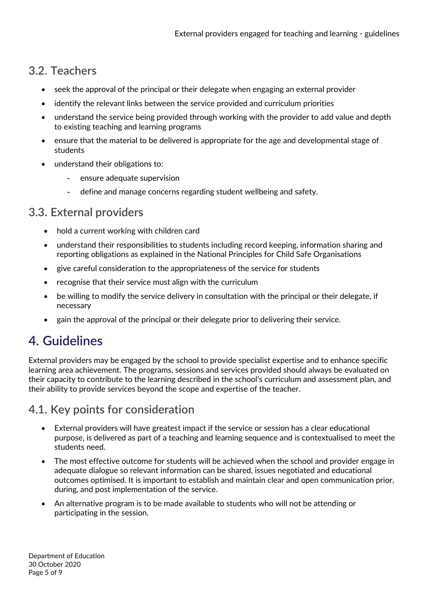## 3.2. Teachers

- seek the approval of the principal or their delegate when engaging an external provider
- identify the relevant links between the service provided and curriculum priorities
- understand the service being provided through working with the provider to add value and depth to existing teaching and learning programs
- ensure that the material to be delivered is appropriate for the age and developmental stage of students
- understand their obligations to:
	- ensure adequate supervision
	- define and manage concerns regarding student wellbeing and safety.

#### 3.3. External providers

- hold a current working with children card
- understand their responsibilities to students including record keeping, information sharing and reporting obligations as explained in the National Principles for Child Safe Organisations
- give careful consideration to the appropriateness of the service for students
- recognise that their service must align with the curriculum
- be willing to modify the service delivery in consultation with the principal or their delegate, if necessary
- gain the approval of the principal or their delegate prior to delivering their service.

## 4. Guidelines

External providers may be engaged by the school to provide specialist expertise and to enhance specific learning area achievement. The programs, sessions and services provided should always be evaluated on their capacity to contribute to the learning described in the school's curriculum and assessment plan, and their ability to provide services beyond the scope and expertise of the teacher.

## 4.1. Key points for consideration

- External providers will have greatest impact if the service or session has a clear educational purpose, is delivered as part of a teaching and learning sequence and is contextualised to meet the students need.
- The most effective outcome for students will be achieved when the school and provider engage in adequate dialogue so relevant information can be shared, issues negotiated and educational outcomes optimised. It is important to establish and maintain clear and open communication prior, during, and post implementation of the service.
- An alternative program is to be made available to students who will not be attending or participating in the session.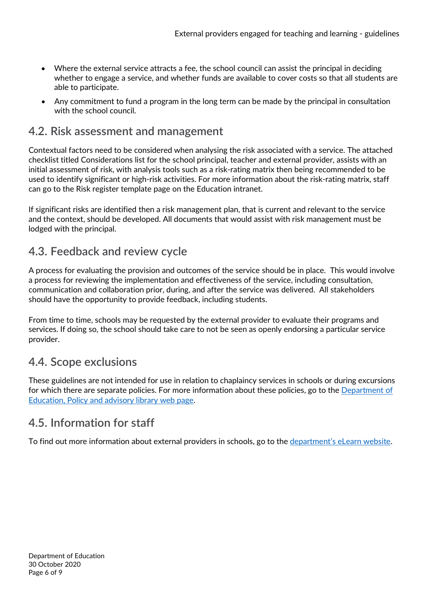- Where the external service attracts a fee, the school council can assist the principal in deciding whether to engage a service, and whether funds are available to cover costs so that all students are able to participate.
- Any commitment to fund a program in the long term can be made by the principal in consultation with the school council.

#### 4.2. Risk assessment and management

Contextual factors need to be considered when analysing the risk associated with a service. The attached checklist titled Considerations list for the school principal, teacher and external provider, assists with an initial assessment of risk, with analysis tools such as a risk-rating matrix then being recommended to be used to identify significant or high-risk activities. For more information about the risk-rating matrix, staff can go to the Risk register template page on the Education intranet.

If significant risks are identified then a risk management plan, that is current and relevant to the service and the context, should be developed. All documents that would assist with risk management must be lodged with the principal.

#### 4.3. Feedback and review cycle

A process for evaluating the provision and outcomes of the service should be in place. This would involve a process for reviewing the implementation and effectiveness of the service, including consultation, communication and collaboration prior, during, and after the service was delivered. All stakeholders should have the opportunity to provide feedback, including students.

From time to time, schools may be requested by the external provider to evaluate their programs and services. If doing so, the school should take care to not be seen as openly endorsing a particular service provider.

## 4.4. Scope exclusions

These guidelines are not intended for use in relation to chaplaincy services in schools or during excursions for which there are separate policies. For more information about these policies, go to the Department of Education, Policy and advisory library web page.

## 4.5. Information for staff

To find out more information about external providers in schools, go to the department's eLearn website.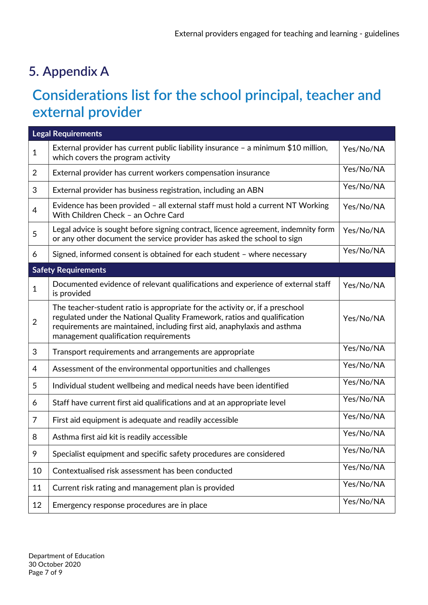## 5. Appendix A

# Considerations list for the school principal, teacher and external provider

| <b>Legal Requirements</b> |                                                                                                                                                                                                                                                                               |           |  |
|---------------------------|-------------------------------------------------------------------------------------------------------------------------------------------------------------------------------------------------------------------------------------------------------------------------------|-----------|--|
| $\mathbf{1}$              | External provider has current public liability insurance $-$ a minimum \$10 million,<br>which covers the program activity                                                                                                                                                     | Yes/No/NA |  |
| $\overline{2}$            | External provider has current workers compensation insurance                                                                                                                                                                                                                  | Yes/No/NA |  |
| 3                         | External provider has business registration, including an ABN                                                                                                                                                                                                                 | Yes/No/NA |  |
| $\overline{4}$            | Evidence has been provided - all external staff must hold a current NT Working<br>With Children Check - an Ochre Card                                                                                                                                                         | Yes/No/NA |  |
| 5                         | Legal advice is sought before signing contract, licence agreement, indemnity form<br>or any other document the service provider has asked the school to sign                                                                                                                  | Yes/No/NA |  |
| 6                         | Signed, informed consent is obtained for each student - where necessary                                                                                                                                                                                                       | Yes/No/NA |  |
|                           | <b>Safety Requirements</b>                                                                                                                                                                                                                                                    |           |  |
| $\mathbf{1}$              | Documented evidence of relevant qualifications and experience of external staff<br>is provided                                                                                                                                                                                | Yes/No/NA |  |
| $\overline{2}$            | The teacher-student ratio is appropriate for the activity or, if a preschool<br>regulated under the National Quality Framework, ratios and qualification<br>requirements are maintained, including first aid, anaphylaxis and asthma<br>management qualification requirements | Yes/No/NA |  |
| 3                         | Transport requirements and arrangements are appropriate                                                                                                                                                                                                                       | Yes/No/NA |  |
| 4                         | Assessment of the environmental opportunities and challenges                                                                                                                                                                                                                  | Yes/No/NA |  |
| 5                         | Individual student wellbeing and medical needs have been identified                                                                                                                                                                                                           | Yes/No/NA |  |
| 6                         | Staff have current first aid qualifications and at an appropriate level                                                                                                                                                                                                       | Yes/No/NA |  |
| $\overline{7}$            | First aid equipment is adequate and readily accessible                                                                                                                                                                                                                        | Yes/No/NA |  |
| 8                         | Asthma first aid kit is readily accessible                                                                                                                                                                                                                                    | Yes/No/NA |  |
| 9                         | Specialist equipment and specific safety procedures are considered                                                                                                                                                                                                            | Yes/No/NA |  |
| 10                        | Contextualised risk assessment has been conducted                                                                                                                                                                                                                             | Yes/No/NA |  |
| 11                        | Current risk rating and management plan is provided                                                                                                                                                                                                                           | Yes/No/NA |  |
| 12                        | Emergency response procedures are in place                                                                                                                                                                                                                                    | Yes/No/NA |  |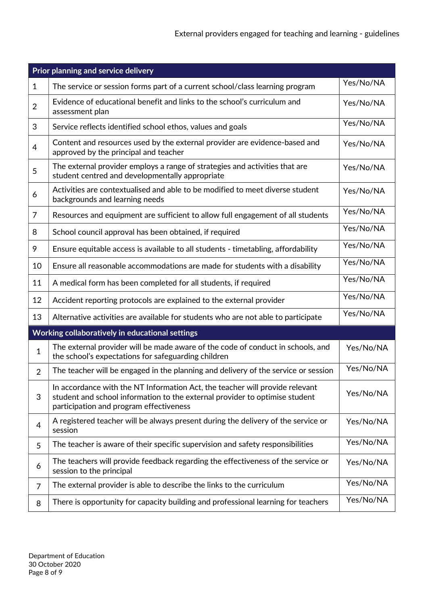| Prior planning and service delivery |                                                                                                                                                                                                        |           |  |
|-------------------------------------|--------------------------------------------------------------------------------------------------------------------------------------------------------------------------------------------------------|-----------|--|
| $\mathbf{1}$                        | The service or session forms part of a current school/class learning program                                                                                                                           | Yes/No/NA |  |
| $\overline{2}$                      | Evidence of educational benefit and links to the school's curriculum and<br>assessment plan                                                                                                            | Yes/No/NA |  |
| 3                                   | Service reflects identified school ethos, values and goals                                                                                                                                             | Yes/No/NA |  |
| $\overline{4}$                      | Content and resources used by the external provider are evidence-based and<br>approved by the principal and teacher                                                                                    | Yes/No/NA |  |
| 5                                   | The external provider employs a range of strategies and activities that are<br>student centred and developmentally appropriate                                                                         | Yes/No/NA |  |
| 6                                   | Activities are contextualised and able to be modified to meet diverse student<br>backgrounds and learning needs                                                                                        | Yes/No/NA |  |
| 7                                   | Resources and equipment are sufficient to allow full engagement of all students                                                                                                                        | Yes/No/NA |  |
| 8                                   | School council approval has been obtained, if required                                                                                                                                                 | Yes/No/NA |  |
| 9                                   | Ensure equitable access is available to all students - timetabling, affordability                                                                                                                      | Yes/No/NA |  |
| 10                                  | Ensure all reasonable accommodations are made for students with a disability                                                                                                                           | Yes/No/NA |  |
| 11                                  | A medical form has been completed for all students, if required                                                                                                                                        | Yes/No/NA |  |
| 12                                  | Accident reporting protocols are explained to the external provider                                                                                                                                    | Yes/No/NA |  |
| 13                                  | Alternative activities are available for students who are not able to participate                                                                                                                      | Yes/No/NA |  |
|                                     | Working collaboratively in educational settings                                                                                                                                                        |           |  |
| $\mathbf{1}$                        | The external provider will be made aware of the code of conduct in schools, and<br>the school's expectations for safeguarding children                                                                 | Yes/No/NA |  |
| $\overline{2}$                      | The teacher will be engaged in the planning and delivery of the service or session                                                                                                                     | Yes/No/NA |  |
| 3                                   | In accordance with the NT Information Act, the teacher will provide relevant<br>student and school information to the external provider to optimise student<br>participation and program effectiveness | Yes/No/NA |  |
| 4                                   | A registered teacher will be always present during the delivery of the service or<br>session                                                                                                           | Yes/No/NA |  |
| 5                                   | The teacher is aware of their specific supervision and safety responsibilities                                                                                                                         | Yes/No/NA |  |
| 6                                   | The teachers will provide feedback regarding the effectiveness of the service or<br>session to the principal                                                                                           | Yes/No/NA |  |
| 7                                   | The external provider is able to describe the links to the curriculum                                                                                                                                  | Yes/No/NA |  |
| 8                                   | There is opportunity for capacity building and professional learning for teachers                                                                                                                      | Yes/No/NA |  |